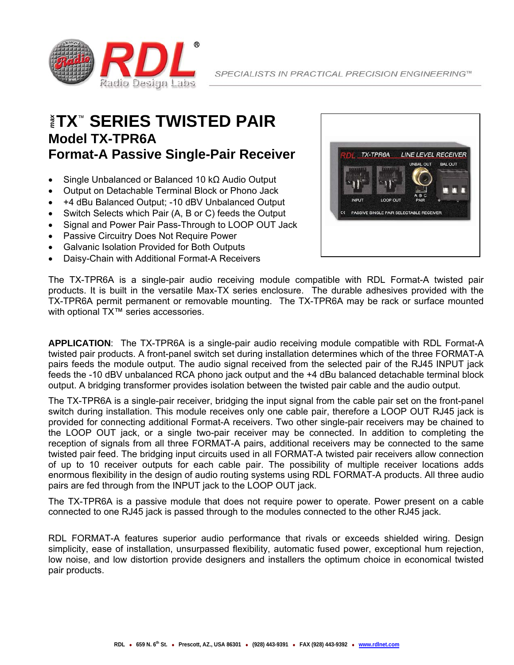

### **TX**™ **SERIES TWISTED PAIR**  *max* **Model TX-TPR6A Format-A Passive Single-Pair Receiver**

- Single Unbalanced or Balanced 10 kΩ Audio Output
- Output on Detachable Terminal Block or Phono Jack
- +4 dBu Balanced Output; -10 dBV Unbalanced Output
- Switch Selects which Pair (A, B or C) feeds the Output
- Signal and Power Pair Pass-Through to LOOP OUT Jack
- Passive Circuitry Does Not Require Power
- Galvanic Isolation Provided for Both Outputs
- Daisy-Chain with Additional Format-A Receivers



The TX-TPR6A is a single-pair audio receiving module compatible with RDL Format-A twisted pair products. It is built in the versatile Max-TX series enclosure. The durable adhesives provided with the TX-TPR6A permit permanent or removable mounting. The TX-TPR6A may be rack or surface mounted with optional TX™ series accessories.

**APPLICATION**: The TX-TPR6A is a single-pair audio receiving module compatible with RDL Format-A twisted pair products. A front-panel switch set during installation determines which of the three FORMAT-A pairs feeds the module output. The audio signal received from the selected pair of the RJ45 INPUT jack feeds the -10 dBV unbalanced RCA phono jack output and the +4 dBu balanced detachable terminal block output. A bridging transformer provides isolation between the twisted pair cable and the audio output.

The TX-TPR6A is a single-pair receiver, bridging the input signal from the cable pair set on the front-panel switch during installation. This module receives only one cable pair, therefore a LOOP OUT RJ45 jack is provided for connecting additional Format-A receivers. Two other single-pair receivers may be chained to the LOOP OUT jack, or a single two-pair receiver may be connected. In addition to completing the reception of signals from all three FORMAT-A pairs, additional receivers may be connected to the same twisted pair feed. The bridging input circuits used in all FORMAT-A twisted pair receivers allow connection of up to 10 receiver outputs for each cable pair. The possibility of multiple receiver locations adds enormous flexibility in the design of audio routing systems using RDL FORMAT-A products. All three audio pairs are fed through from the INPUT jack to the LOOP OUT jack.

The TX-TPR6A is a passive module that does not require power to operate. Power present on a cable connected to one RJ45 jack is passed through to the modules connected to the other RJ45 jack.

RDL FORMAT-A features superior audio performance that rivals or exceeds shielded wiring. Design simplicity, ease of installation, unsurpassed flexibility, automatic fused power, exceptional hum rejection, low noise, and low distortion provide designers and installers the optimum choice in economical twisted pair products.